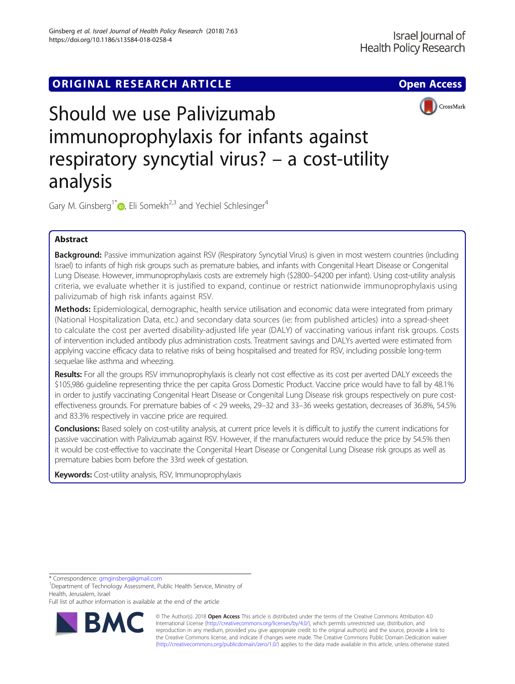# **ORIGINAL RESEARCH ARTICLE CONSUMING ACCESS**





Should we use Palivizumab immunoprophylaxis for infants against respiratory syncytial virus? – a cost-utility analysis

Gary M. Ginsberg<sup>1\*</sup> $\bullet$ , Eli Somekh<sup>2,3</sup> and Yechiel Schlesinger<sup>4</sup>

# Abstract

Background: Passive immunization against RSV (Respiratory Syncytial Virus) is given in most western countries (including Israel) to infants of high risk groups such as premature babies, and infants with Congenital Heart Disease or Congenital Lung Disease. However, immunoprophylaxis costs are extremely high (\$2800–\$4200 per infant). Using cost-utility analysis criteria, we evaluate whether it is justified to expand, continue or restrict nationwide immunoprophylaxis using palivizumab of high risk infants against RSV.

Methods: Epidemiological, demographic, health service utilisation and economic data were integrated from primary (National Hospitalization Data, etc.) and secondary data sources (ie: from published articles) into a spread-sheet to calculate the cost per averted disability-adjusted life year (DALY) of vaccinating various infant risk groups. Costs of intervention included antibody plus administration costs. Treatment savings and DALYs averted were estimated from applying vaccine efficacy data to relative risks of being hospitalised and treated for RSV, including possible long-term sequelae like asthma and wheezing.

Results: For all the groups RSV immunoprophylaxis is clearly not cost effective as its cost per averted DALY exceeds the \$105,986 guideline representing thrice the per capita Gross Domestic Product. Vaccine price would have to fall by 48.1% in order to justify vaccinating Congenital Heart Disease or Congenital Lung Disease risk groups respectively on pure costeffectiveness grounds. For premature babies of < 29 weeks, 29–32 and 33–36 weeks gestation, decreases of 36.8%, 54.5% and 83.3% respectively in vaccine price are required.

Conclusions: Based solely on cost-utility analysis, at current price levels it is difficult to justify the current indications for passive vaccination with Palivizumab against RSV. However, if the manufacturers would reduce the price by 54.5% then it would be cost-effective to vaccinate the Congenital Heart Disease or Congenital Lung Disease risk groups as well as premature babies born before the 33rd week of gestation.

Keywords: Cost-utility analysis, RSV, Immunoprophylaxis

\* Correspondence: [gmginsberg@gmail.com](mailto:gmginsberg@gmail.com) <sup>1</sup>

<sup>1</sup>Department of Technology Assessment, Public Health Service, Ministry of Health, Jerusalem, Israel

Full list of author information is available at the end of the article



© The Author(s). 2018 Open Access This article is distributed under the terms of the Creative Commons Attribution 4.0 International License [\(http://creativecommons.org/licenses/by/4.0/](http://creativecommons.org/licenses/by/4.0/)), which permits unrestricted use, distribution, and reproduction in any medium, provided you give appropriate credit to the original author(s) and the source, provide a link to the Creative Commons license, and indicate if changes were made. The Creative Commons Public Domain Dedication waiver [\(http://creativecommons.org/publicdomain/zero/1.0/](http://creativecommons.org/publicdomain/zero/1.0/)) applies to the data made available in this article, unless otherwise stated.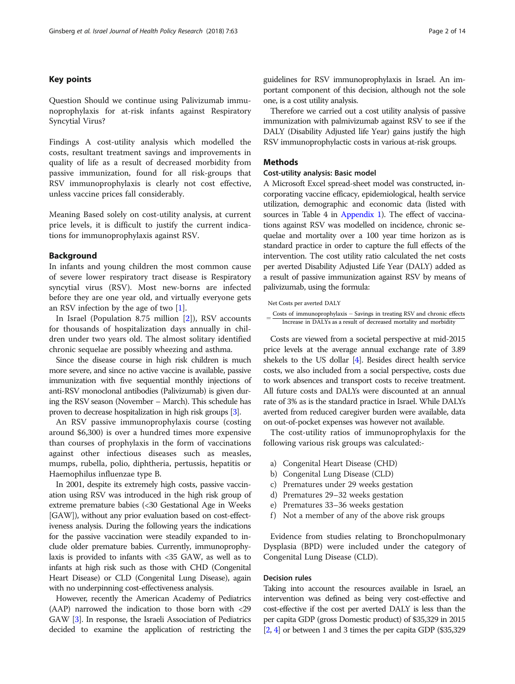# Key points

Question Should we continue using Palivizumab immunoprophylaxis for at-risk infants against Respiratory Syncytial Virus?

Findings A cost-utility analysis which modelled the costs, resultant treatment savings and improvements in quality of life as a result of decreased morbidity from passive immunization, found for all risk-groups that RSV immunoprophylaxis is clearly not cost effective, unless vaccine prices fall considerably.

Meaning Based solely on cost-utility analysis, at current price levels, it is difficult to justify the current indications for immunoprophylaxis against RSV.

## Background

In infants and young children the most common cause of severe lower respiratory tract disease is Respiratory syncytial virus (RSV). Most new-borns are infected before they are one year old, and virtually everyone gets an RSV infection by the age of two [\[1](#page-11-0)].

In Israel (Population 8.75 million [[2\]](#page-11-0)), RSV accounts for thousands of hospitalization days annually in children under two years old. The almost solitary identified chronic sequelae are possibly wheezing and asthma.

Since the disease course in high risk children is much more severe, and since no active vaccine is available, passive immunization with five sequential monthly injections of anti-RSV monoclonal antibodies (Palivizumab) is given during the RSV season (November – March). This schedule has proven to decrease hospitalization in high risk groups [\[3\]](#page-11-0).

An RSV passive immunoprophylaxis course (costing around \$6,300) is over a hundred times more expensive than courses of prophylaxis in the form of vaccinations against other infectious diseases such as measles, mumps, rubella, polio, diphtheria, pertussis, hepatitis or Haemophilus influenzae type B.

In 2001, despite its extremely high costs, passive vaccination using RSV was introduced in the high risk group of extreme premature babies (<30 Gestational Age in Weeks [GAW]), without any prior evaluation based on cost-effectiveness analysis. During the following years the indications for the passive vaccination were steadily expanded to include older premature babies. Currently, immunoprophylaxis is provided to infants with <35 GAW, as well as to infants at high risk such as those with CHD (Congenital Heart Disease) or CLD (Congenital Lung Disease), again with no underpinning cost-effectiveness analysis.

However, recently the American Academy of Pediatrics (AAP) narrowed the indication to those born with <29 GAW [[3](#page-11-0)]. In response, the Israeli Association of Pediatrics decided to examine the application of restricting the guidelines for RSV immunoprophylaxis in Israel. An important component of this decision, although not the sole one, is a cost utility analysis.

Therefore we carried out a cost utility analysis of passive immunization with palmivizumab against RSV to see if the DALY (Disability Adjusted life Year) gains justify the high RSV immunoprophylactic costs in various at-risk groups.

## Methods

# Cost-utility analysis: Basic model

A Microsoft Excel spread-sheet model was constructed, incorporating vaccine efficacy, epidemiological, health service utilization, demographic and economic data (listed with sources in Table 4 in Appendix 1). The effect of vaccinations against RSV was modelled on incidence, chronic sequelae and mortality over a 100 year time horizon as is standard practice in order to capture the full effects of the intervention. The cost utility ratio calculated the net costs per averted Disability Adjusted Life Year (DALY) added as a result of passive immunization against RSV by means of palivizumab, using the formula:

# Net Costs per averted DALY

```
=\frac{\text{Costs of immunoprophylaxis}-\text{Savings in treating RSV and chronic effects}}{\text{Increase in DALVs as a result of decreased mortality and mobility}}Increase in DALYs as a result of decreased mortality and morbidity
```
Costs are viewed from a societal perspective at mid-2015 price levels at the average annual exchange rate of 3.89 shekels to the US dollar [[4](#page-11-0)]. Besides direct health service costs, we also included from a social perspective, costs due to work absences and transport costs to receive treatment. All future costs and DALYs were discounted at an annual rate of 3% as is the standard practice in Israel. While DALYs averted from reduced caregiver burden were available, data on out-of-pocket expenses was however not available.

The cost-utility ratios of immunoprophylaxis for the following various risk groups was calculated:-

- a) Congenital Heart Disease (CHD)
- b) Congenital Lung Disease (CLD)
- c) Prematures under 29 weeks gestation
- d) Prematures 29–32 weeks gestation
- e) Prematures 33–36 weeks gestation
- f) Not a member of any of the above risk groups

Evidence from studies relating to Bronchopulmonary Dysplasia (BPD) were included under the category of Congenital Lung Disease (CLD).

## Decision rules

Taking into account the resources available in Israel, an intervention was defined as being very cost-effective and cost-effective if the cost per averted DALY is less than the per capita GDP (gross Domestic product) of \$35,329 in 2015 [[2](#page-11-0), [4\]](#page-11-0) or between 1 and 3 times the per capita GDP (\$35,329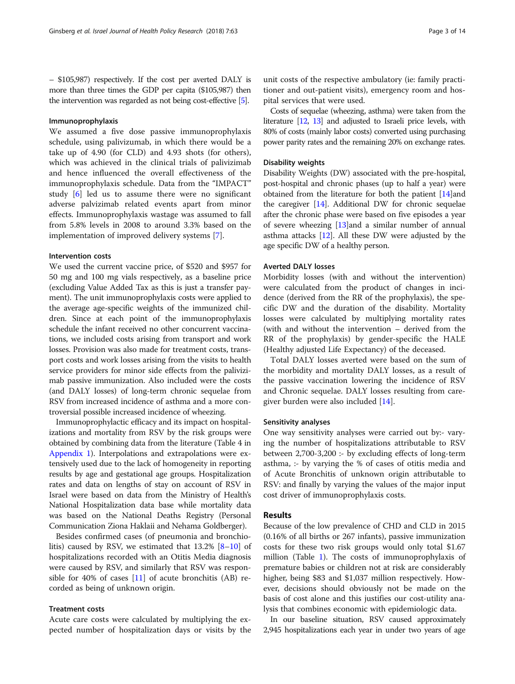– \$105,987) respectively. If the cost per averted DALY is more than three times the GDP per capita (\$105,987) then the intervention was regarded as not being cost-effective [[5](#page-11-0)].

# Immunoprophylaxis

We assumed a five dose passive immunoprophylaxis schedule, using palivizumab, in which there would be a take up of 4.90 (for CLD) and 4.93 shots (for others), which was achieved in the clinical trials of palivizimab and hence influenced the overall effectiveness of the immunoprophylaxis schedule. Data from the "IMPACT" study [\[6](#page-11-0)] led us to assume there were no significant adverse palvizimab related events apart from minor effects. Immunoprophylaxis wastage was assumed to fall from 5.8% levels in 2008 to around 3.3% based on the implementation of improved delivery systems [\[7](#page-11-0)].

# Intervention costs

We used the current vaccine price, of \$520 and \$957 for 50 mg and 100 mg vials respectively, as a baseline price (excluding Value Added Tax as this is just a transfer payment). The unit immunoprophylaxis costs were applied to the average age-specific weights of the immunized children. Since at each point of the immunoprophylaxis schedule the infant received no other concurrent vaccinations, we included costs arising from transport and work losses. Provision was also made for treatment costs, transport costs and work losses arising from the visits to health service providers for minor side effects from the palivizimab passive immunization. Also included were the costs (and DALY losses) of long-term chronic sequelae from RSV from increased incidence of asthma and a more controversial possible increased incidence of wheezing.

Immunoprophylactic efficacy and its impact on hospitalizations and mortality from RSV by the risk groups were obtained by combining data from the literature (Table 4 in Appendix 1). Interpolations and extrapolations were extensively used due to the lack of homogeneity in reporting results by age and gestational age groups. Hospitalization rates and data on lengths of stay on account of RSV in Israel were based on data from the Ministry of Health's National Hospitalization data base while mortality data was based on the National Deaths Registry (Personal Communication Ziona Haklaii and Nehama Goldberger).

Besides confirmed cases (of pneumonia and bronchiolitis) caused by RSV, we estimated that  $13.2\%$  [[8](#page-11-0)–[10\]](#page-11-0) of hospitalizations recorded with an Otitis Media diagnosis were caused by RSV, and similarly that RSV was responsible for 40% of cases  $[11]$  $[11]$  of acute bronchitis  $(AB)$  recorded as being of unknown origin.

# Treatment costs

Acute care costs were calculated by multiplying the expected number of hospitalization days or visits by the unit costs of the respective ambulatory (ie: family practitioner and out-patient visits), emergency room and hospital services that were used.

Costs of sequelae (wheezing, asthma) were taken from the literature [\[12,](#page-11-0) [13\]](#page-11-0) and adjusted to Israeli price levels, with 80% of costs (mainly labor costs) converted using purchasing power parity rates and the remaining 20% on exchange rates.

### Disability weights

Disability Weights (DW) associated with the pre-hospital, post-hospital and chronic phases (up to half a year) were obtained from the literature for both the patient  $[14]$ and the caregiver [[14](#page-11-0)]. Additional DW for chronic sequelae after the chronic phase were based on five episodes a year of severe wheezing [[13\]](#page-11-0)and a similar number of annual asthma attacks [\[12\]](#page-11-0). All these DW were adjusted by the age specific DW of a healthy person.

## Averted DALY losses

Morbidity losses (with and without the intervention) were calculated from the product of changes in incidence (derived from the RR of the prophylaxis), the specific DW and the duration of the disability. Mortality losses were calculated by multiplying mortality rates (with and without the intervention – derived from the RR of the prophylaxis) by gender-specific the HALE (Healthy adjusted Life Expectancy) of the deceased.

Total DALY losses averted were based on the sum of the morbidity and mortality DALY losses, as a result of the passive vaccination lowering the incidence of RSV and Chronic sequelae. DALY losses resulting from caregiver burden were also included [[14\]](#page-11-0).

### Sensitivity analyses

One way sensitivity analyses were carried out by:- varying the number of hospitalizations attributable to RSV between 2,700-3,200 :- by excluding effects of long-term asthma, :- by varying the % of cases of otitis media and of Acute Bronchitis of unknown origin attributable to RSV: and finally by varying the values of the major input cost driver of immunoprophylaxis costs.

# Results

Because of the low prevalence of CHD and CLD in 2015 (0.16% of all births or 267 infants), passive immunization costs for these two risk groups would only total \$1.67 million (Table [1\)](#page-3-0). The costs of immunoprophylaxis of premature babies or children not at risk are considerably higher, being \$83 and \$1,037 million respectively. However, decisions should obviously not be made on the basis of cost alone and this justifies our cost-utility analysis that combines economic with epidemiologic data.

In our baseline situation, RSV caused approximately 2,945 hospitalizations each year in under two years of age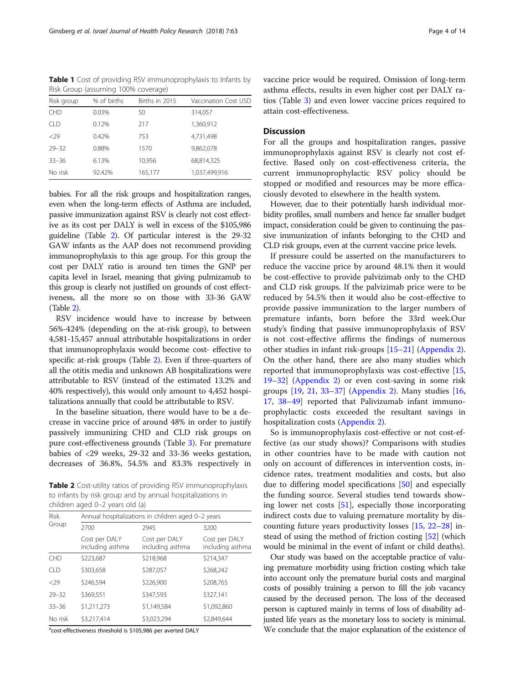<span id="page-3-0"></span>Table 1 Cost of providing RSV immunoprophylaxis to Infants by Risk Group (assuming 100% coverage)

| Risk group | % of births | Births in 2015 | Vaccination Cost USD |
|------------|-------------|----------------|----------------------|
| CHD        | 0.03%       | 50             | 314,057              |
| CID        | 0.12%       | 217            | 1,360,912            |
| 29         | 0.42%       | 753            | 4,731,498            |
| $79 - 32$  | 0.88%       | 1570           | 9,862,078            |
| $33 - 36$  | 6.13%       | 10,956         | 68,814,325           |
| No risk    | 92.42%      | 165,177        | 1,037,499,916        |
|            |             |                |                      |

babies. For all the risk groups and hospitalization ranges, even when the long-term effects of Asthma are included, passive immunization against RSV is clearly not cost effective as its cost per DALY is well in excess of the \$105,986 guideline (Table 2). Of particular interest is the 29-32 GAW infants as the AAP does not recommend providing immunoprophylaxis to this age group. For this group the cost per DALY ratio is around ten times the GNP per capita level in Israel, meaning that giving pulmizamub to this group is clearly not justified on grounds of cost effectiveness, all the more so on those with 33-36 GAW (Table 2).

RSV incidence would have to increase by between 56%-424% (depending on the at-risk group), to between 4,581-15,457 annual attributable hospitalizations in order that immunoprophylaxis would become cost- effective to specific at-risk groups (Table 2). Even if three-quarters of all the otitis media and unknown AB hospitalizations were attributable to RSV (instead of the estimated 13.2% and 40% respectively), this would only amount to 4,452 hospitalizations annually that could be attributable to RSV.

In the baseline situation, there would have to be a decrease in vaccine price of around 48% in order to justify passively immunizing CHD and CLD risk groups on pure cost-effectiveness grounds (Table [3\)](#page-4-0). For premature babies of <29 weeks, 29-32 and 33-36 weeks gestation, decreases of 36.8%, 54.5% and 83.3% respectively in

Table 2 Cost-utility ratios of providing RSV immunoprophylaxis to infants by risk group and by annual hospitalizations in children aged 0–2 years old (a)

| Risk       |                                   | Annual hospitalizations in children aged 0-2 years |                                   |  |  |  |  |
|------------|-----------------------------------|----------------------------------------------------|-----------------------------------|--|--|--|--|
| Group      | 2700                              | 2945                                               | 3200                              |  |  |  |  |
|            | Cost per DALY<br>including asthma | Cost per DALY<br>including asthma                  | Cost per DALY<br>including asthma |  |  |  |  |
| <b>CHD</b> | \$223,687                         | \$218,968                                          | \$214,347                         |  |  |  |  |
| CLD        | \$303,658                         | \$287,057                                          | \$268,242                         |  |  |  |  |
| 29         | \$246.594                         | \$226,900                                          | \$208,765                         |  |  |  |  |
| $79 - 32$  | \$369,551                         | \$347,593                                          | \$327,141                         |  |  |  |  |
| $33 - 36$  | \$1,211,273                       | \$1,149,584                                        | \$1,092,860                       |  |  |  |  |
| No risk    | \$3,217,414                       | \$3,023,294                                        | \$2.849.644                       |  |  |  |  |

<sup>a</sup>cost-effectiveness threshold is \$105,986 per averted DALY

vaccine price would be required. Omission of long-term asthma effects, results in even higher cost per DALY ratios (Table [3\)](#page-4-0) and even lower vaccine prices required to attain cost-effectiveness.

# **Discussion**

For all the groups and hospitalization ranges, passive immunoprophylaxis against RSV is clearly not cost effective. Based only on cost-effectiveness criteria, the current immunoprophylactic RSV policy should be stopped or modified and resources may be more efficaciously devoted to elsewhere in the health system.

However, due to their potentially harsh individual morbidity profiles, small numbers and hence far smaller budget impact, consideration could be given to continuing the passive immunization of infants belonging to the CHD and CLD risk groups, even at the current vaccine price levels.

If pressure could be asserted on the manufacturers to reduce the vaccine price by around 48.1% then it would be cost-effective to provide palvizimab only to the CHD and CLD risk groups. If the palvizimab price were to be reduced by 54.5% then it would also be cost-effective to provide passive immunization to the larger numbers of premature infants, born before the 33rd week.Our study's finding that passive immunoprophylaxis of RSV is not cost-effective affirms the findings of numerous other studies in infant risk-groups [[15](#page-11-0)–[21](#page-11-0)] ([Appendix 2](#page-10-0)). On the other hand, there are also many studies which reported that immunoprophylaxis was cost-effective [[15](#page-11-0), [19](#page-11-0)–[32](#page-11-0)] [\(Appendix 2\)](#page-10-0) or even cost-saving in some risk groups [\[19](#page-11-0), [21](#page-11-0), [33](#page-11-0)–[37\]](#page-12-0) ([Appendix 2](#page-10-0)). Many studies [[16](#page-11-0), [17,](#page-11-0) [38](#page-12-0)–[49](#page-12-0)] reported that Palivizumab infant immunoprophylactic costs exceeded the resultant savings in hospitalization costs ([Appendix 2](#page-10-0)).

So is immunoprophylaxis cost-effective or not cost-effective (as our study shows)? Comparisons with studies in other countries have to be made with caution not only on account of differences in intervention costs, incidence rates, treatment modalities and costs, but also due to differing model specifications [\[50](#page-12-0)] and especially the funding source. Several studies tend towards showing lower net costs [\[51](#page-12-0)], especially those incorporating indirect costs due to valuing premature mortality by discounting future years productivity losses [\[15](#page-11-0), [22](#page-11-0)–[28](#page-11-0)] instead of using the method of friction costing [[52\]](#page-12-0) (which would be minimal in the event of infant or child deaths).

Our study was based on the acceptable practice of valuing premature morbidity using friction costing which take into account only the premature burial costs and marginal costs of possibly training a person to fill the job vacancy caused by the deceased person. The loss of the deceased person is captured mainly in terms of loss of disability adjusted life years as the monetary loss to society is minimal. We conclude that the major explanation of the existence of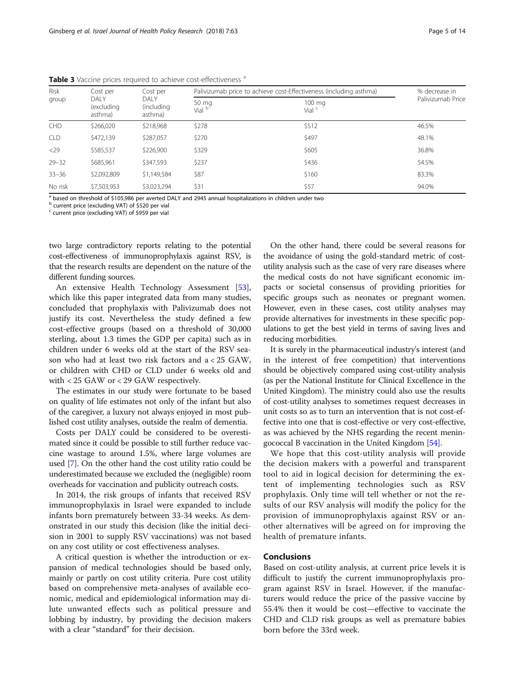| <b>Risk</b><br>Cost per |                               | Cost per                             | Palivizumab price to achieve cost-Effectiveness (including asthma) | % decrease in                |                   |
|-------------------------|-------------------------------|--------------------------------------|--------------------------------------------------------------------|------------------------------|-------------------|
| group                   | DALY<br>(excluding<br>asthma) | <b>DALY</b><br>(including<br>asthma) | 50 mg<br>Vial <sup>b</sup>                                         | $100 \text{ mg}$<br>Vial $c$ | Palivizumab Price |
| CHD                     | \$266,020                     | \$218,968                            | \$278                                                              | \$512                        | 46.5%             |
| <b>CLD</b>              | \$472.139                     | \$287,057                            | \$270                                                              | \$497                        | 48.1%             |
| $<$ 29                  | \$585,537                     | \$226,900                            | \$329                                                              | \$605                        | 36.8%             |
| $29 - 32$               | \$685.961                     | \$347.593                            | \$237                                                              | \$436                        | 54.5%             |
| $33 - 36$               | \$2,092,809                   | \$1,149,584                          | \$87                                                               | \$160                        | 83.3%             |
| No risk                 | \$7,503,953                   | \$3,023,294                          | \$31                                                               | \$57                         | 94.0%             |

<span id="page-4-0"></span>Table 3 Vaccine prices required to achieve cost-effectiveness<sup>a</sup>

a based on threshold of \$105,986 per averted DALY and 2945 annual hospitalizations in children under two

<sup>b</sup> current price (excluding VAT) of \$520 per vial

 $c$  current price (excluding VAT) of \$959 per vial

two large contradictory reports relating to the potential cost-effectiveness of immunoprophylaxis against RSV, is that the research results are dependent on the nature of the different funding sources.

An extensive Health Technology Assessment [\[53](#page-12-0)], which like this paper integrated data from many studies, concluded that prophylaxis with Palivizumab does not justify its cost. Nevertheless the study defined a few cost-effective groups (based on a threshold of 30,000 sterling, about 1.3 times the GDP per capita) such as in children under 6 weeks old at the start of the RSV season who had at least two risk factors and a < 25 GAW, or children with CHD or CLD under 6 weeks old and with < 25 GAW or < 29 GAW respectively.

The estimates in our study were fortunate to be based on quality of life estimates not only of the infant but also of the caregiver, a luxury not always enjoyed in most published cost utility analyses, outside the realm of dementia.

Costs per DALY could be considered to be overestimated since it could be possible to still further reduce vaccine wastage to around 1.5%, where large volumes are used [\[7](#page-11-0)]. On the other hand the cost utility ratio could be underestimated because we excluded the (negligible) room overheads for vaccination and publicity outreach costs.

In 2014, the risk groups of infants that received RSV immunoprophylaxis in Israel were expanded to include infants born prematurely between 33-34 weeks. As demonstrated in our study this decision (like the initial decision in 2001 to supply RSV vaccinations) was not based on any cost utility or cost effectiveness analyses.

A critical question is whether the introduction or expansion of medical technologies should be based only, mainly or partly on cost utility criteria. Pure cost utility based on comprehensive meta-analyses of available economic, medical and epidemiological information may dilute unwanted effects such as political pressure and lobbing by industry, by providing the decision makers with a clear "standard" for their decision.

On the other hand, there could be several reasons for the avoidance of using the gold-standard metric of costutility analysis such as the case of very rare diseases where the medical costs do not have significant economic impacts or societal consensus of providing priorities for specific groups such as neonates or pregnant women. However, even in these cases, cost utility analyses may provide alternatives for investments in these specific populations to get the best yield in terms of saving lives and reducing morbidities.

It is surely in the pharmaceutical industry's interest (and in the interest of free competition) that interventions should be objectively compared using cost-utility analysis (as per the National Institute for Clinical Excellence in the United Kingdom). The ministry could also use the results of cost-utility analyses to sometimes request decreases in unit costs so as to turn an intervention that is not cost-effective into one that is cost-effective or very cost-effective, as was achieved by the NHS regarding the recent meningococcal B vaccination in the United Kingdom [[54](#page-12-0)].

We hope that this cost-utility analysis will provide the decision makers with a powerful and transparent tool to aid in logical decision for determining the extent of implementing technologies such as RSV prophylaxis. Only time will tell whether or not the results of our RSV analysis will modify the policy for the provision of immunoprophylaxis against RSV or another alternatives will be agreed on for improving the health of premature infants.

# Conclusions

Based on cost-utility analysis, at current price levels it is difficult to justify the current immunoprophylaxis program against RSV in Israel. However, if the manufacturers would reduce the price of the passive vaccine by 55.4% then it would be cost—effective to vaccinate the CHD and CLD risk groups as well as premature babies born before the 33rd week.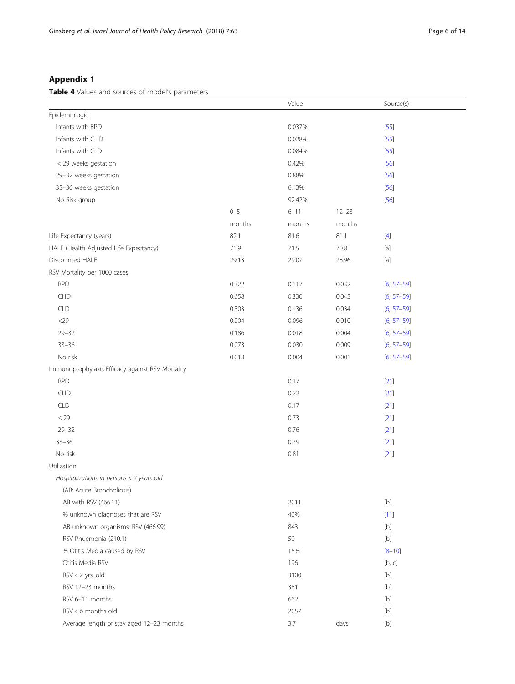# Appendix 1

Table 4 Values and sources of model's parameters

|                                                  |         | Value    |           | Source(s)                                                                                                                                                                                                                                                                                                                                                                                                                                                                                                                                                                                                                                                                                        |  |
|--------------------------------------------------|---------|----------|-----------|--------------------------------------------------------------------------------------------------------------------------------------------------------------------------------------------------------------------------------------------------------------------------------------------------------------------------------------------------------------------------------------------------------------------------------------------------------------------------------------------------------------------------------------------------------------------------------------------------------------------------------------------------------------------------------------------------|--|
| Epidemiologic                                    |         |          |           |                                                                                                                                                                                                                                                                                                                                                                                                                                                                                                                                                                                                                                                                                                  |  |
| Infants with BPD                                 |         | 0.037%   |           | $[55]$                                                                                                                                                                                                                                                                                                                                                                                                                                                                                                                                                                                                                                                                                           |  |
| Infants with CHD                                 |         | 0.028%   |           | $[55]$                                                                                                                                                                                                                                                                                                                                                                                                                                                                                                                                                                                                                                                                                           |  |
| Infants with CLD                                 |         | 0.084%   |           | $[55]$                                                                                                                                                                                                                                                                                                                                                                                                                                                                                                                                                                                                                                                                                           |  |
| < 29 weeks gestation                             |         | 0.42%    |           | $[56]$                                                                                                                                                                                                                                                                                                                                                                                                                                                                                                                                                                                                                                                                                           |  |
| 29-32 weeks gestation                            |         | 0.88%    |           | $[56]$                                                                                                                                                                                                                                                                                                                                                                                                                                                                                                                                                                                                                                                                                           |  |
| 33-36 weeks gestation                            |         | 6.13%    |           | $[56]$                                                                                                                                                                                                                                                                                                                                                                                                                                                                                                                                                                                                                                                                                           |  |
| No Risk group                                    |         | 92.42%   |           | $[56]$                                                                                                                                                                                                                                                                                                                                                                                                                                                                                                                                                                                                                                                                                           |  |
|                                                  | $0 - 5$ | $6 - 11$ | $12 - 23$ |                                                                                                                                                                                                                                                                                                                                                                                                                                                                                                                                                                                                                                                                                                  |  |
|                                                  | months  | months   | months    |                                                                                                                                                                                                                                                                                                                                                                                                                                                                                                                                                                                                                                                                                                  |  |
| Life Expectancy (years)                          | 82.1    | 81.6     | 81.1      | $[4]$                                                                                                                                                                                                                                                                                                                                                                                                                                                                                                                                                                                                                                                                                            |  |
| HALE (Health Adjusted Life Expectancy)           | 71.9    | 71.5     | 70.8      | $[a]$                                                                                                                                                                                                                                                                                                                                                                                                                                                                                                                                                                                                                                                                                            |  |
| Discounted HALE                                  | 29.13   | 29.07    | 28.96     | $[a] % \begin{center} % \includegraphics[width=\linewidth]{imagesSupplemental_3.png} % \end{center} % \caption { % \textit{DefNet} and \textit{DefNet}~\textit{DefNet}~\textit{DefNet}~\textit{DefNet}~\textit{DefNet}~\textit{DefNet}~\textit{DefNet}~\textit{DefNet}~\textit{DefNet}~\textit{DefNet}~\textit{DefNet}~\textit{DefNet}~\textit{DefNet}~\textit{DefNet}~\textit{DefNet}~\textit{DefNet}~\textit{DefNet}~\textit{DefNet}~\textit{DefNet}~\textit{DefNet}~\textit{DefNet}~\textit{DefNet}~$                                                                                                                                                                                         |  |
| RSV Mortality per 1000 cases                     |         |          |           |                                                                                                                                                                                                                                                                                                                                                                                                                                                                                                                                                                                                                                                                                                  |  |
| <b>BPD</b>                                       | 0.322   | 0.117    | 0.032     | $[6, 57 - 59]$                                                                                                                                                                                                                                                                                                                                                                                                                                                                                                                                                                                                                                                                                   |  |
| CHD                                              | 0.658   | 0.330    | 0.045     | $[6, 57-59]$                                                                                                                                                                                                                                                                                                                                                                                                                                                                                                                                                                                                                                                                                     |  |
| CLD                                              | 0.303   | 0.136    | 0.034     | $[6, 57 - 59]$                                                                                                                                                                                                                                                                                                                                                                                                                                                                                                                                                                                                                                                                                   |  |
| $<$ 29                                           | 0.204   | 0.096    | 0.010     | $[6, 57 - 59]$                                                                                                                                                                                                                                                                                                                                                                                                                                                                                                                                                                                                                                                                                   |  |
| $29 - 32$                                        | 0.186   | 0.018    | 0.004     | $[6, 57 - 59]$                                                                                                                                                                                                                                                                                                                                                                                                                                                                                                                                                                                                                                                                                   |  |
| $33 - 36$                                        | 0.073   | 0.030    | 0.009     | $[6, 57 - 59]$                                                                                                                                                                                                                                                                                                                                                                                                                                                                                                                                                                                                                                                                                   |  |
| No risk                                          | 0.013   | 0.004    | 0.001     | $[6, 57 - 59]$                                                                                                                                                                                                                                                                                                                                                                                                                                                                                                                                                                                                                                                                                   |  |
| Immunoprophylaxis Efficacy against RSV Mortality |         |          |           |                                                                                                                                                                                                                                                                                                                                                                                                                                                                                                                                                                                                                                                                                                  |  |
| <b>BPD</b>                                       |         | 0.17     |           | $[21]$                                                                                                                                                                                                                                                                                                                                                                                                                                                                                                                                                                                                                                                                                           |  |
| CHD                                              |         | 0.22     |           | $[21]$                                                                                                                                                                                                                                                                                                                                                                                                                                                                                                                                                                                                                                                                                           |  |
| <b>CLD</b>                                       |         | 0.17     |           | $[21]$                                                                                                                                                                                                                                                                                                                                                                                                                                                                                                                                                                                                                                                                                           |  |
| $<29$                                            |         | 0.73     |           | $[21]$                                                                                                                                                                                                                                                                                                                                                                                                                                                                                                                                                                                                                                                                                           |  |
| $29 - 32$                                        |         | 0.76     |           | $[21]$                                                                                                                                                                                                                                                                                                                                                                                                                                                                                                                                                                                                                                                                                           |  |
| $33 - 36$                                        |         | 0.79     |           | $[21]$                                                                                                                                                                                                                                                                                                                                                                                                                                                                                                                                                                                                                                                                                           |  |
| No risk                                          |         | 0.81     |           | $[21]$                                                                                                                                                                                                                                                                                                                                                                                                                                                                                                                                                                                                                                                                                           |  |
| Utilization                                      |         |          |           |                                                                                                                                                                                                                                                                                                                                                                                                                                                                                                                                                                                                                                                                                                  |  |
| Hospitalizations in persons $<$ 2 years old      |         |          |           |                                                                                                                                                                                                                                                                                                                                                                                                                                                                                                                                                                                                                                                                                                  |  |
| (AB: Acute Broncholiosis)                        |         |          |           |                                                                                                                                                                                                                                                                                                                                                                                                                                                                                                                                                                                                                                                                                                  |  |
| AB with RSV (466.11)                             |         | 2011     |           | [b]                                                                                                                                                                                                                                                                                                                                                                                                                                                                                                                                                                                                                                                                                              |  |
| % unknown diagnoses that are RSV                 |         | 40%      |           | $[11]$                                                                                                                                                                                                                                                                                                                                                                                                                                                                                                                                                                                                                                                                                           |  |
| AB unknown organisms: RSV (466.99)               |         | 843      |           | $[b] \centering% \includegraphics[width=1.0\textwidth]{figs/fig_4.pdf} \caption{The 3D (black) model for the $z$-axis. The left side is the same as in Figure \ref{fig:10}. The right side is the same as in Figure \ref{fig:10}. The right side is the same as in Figure \ref{fig:10}. The right side is the same as in Figure \ref{fig:10}. The right side is the same as in Figure \ref{fig:10}. The right side is the same as in Figure \ref{fig:10}. The right side is the same as inFigure \ref{fig:10}. The right side is the same as inFigure \ref{fig:10}. The right side is the same as inFigure \ref{fig:10}. The right side is the same as inFigure \ref{fig:10}. The right side is$ |  |
| RSV Pnuemonia (210.1)                            |         | 50       |           | [b]                                                                                                                                                                                                                                                                                                                                                                                                                                                                                                                                                                                                                                                                                              |  |
| % Otitis Media caused by RSV                     |         | 15%      |           | $[8 - 10]$                                                                                                                                                                                                                                                                                                                                                                                                                                                                                                                                                                                                                                                                                       |  |
| Otitis Media RSV                                 |         | 196      |           | [b, c]                                                                                                                                                                                                                                                                                                                                                                                                                                                                                                                                                                                                                                                                                           |  |
| $RSV < 2$ yrs. old                               |         | 3100     |           | [b]                                                                                                                                                                                                                                                                                                                                                                                                                                                                                                                                                                                                                                                                                              |  |
| RSV 12-23 months                                 |         | 381      |           | $[b] \centering% \includegraphics[width=1.0\textwidth]{figs/fig_4.pdf} \includegraphics[width=1.0\textwidth]{figs/fig_4.pdf} \includegraphics[width=1.0\textwidth]{figs/fig_4.pdf} \includegraphics[width=1.0\textwidth]{figs/fig_4.pdf} \includegraphics[width=1.0\textwidth]{figs/fig_4.pdf} \includegraphics[width=1.0\textwidth]{figs/fig_4.pdf} \includegraphics[width=1.0\textwidth]{figs/fig_4.pdf} \includegraphics[width=1.0\textwidth]{figs/fig_4.pdf} \includegraphics[width=1.0\textwidth]{figs/fig_4.pdf} \includegraphics[width=1.0\textwidth]{figs/fig_4.pdf} \includegraphics[$                                                                                                  |  |
| RSV 6-11 months                                  |         | 662      |           | $[b] \centering% \includegraphics[width=1.0\textwidth]{figs/fig_4.pdf} \includegraphics[width=1.0\textwidth]{figs/fig_4.pdf} \includegraphics[width=1.0\textwidth]{figs/fig_4.pdf} \includegraphics[width=1.0\textwidth]{figs/fig_4.pdf} \includegraphics[width=1.0\textwidth]{figs/fig_4.pdf} \includegraphics[width=1.0\textwidth]{figs/fig_4.pdf} \includegraphics[width=1.0\textwidth]{figs/fig_4.pdf} \includegraphics[width=1.0\textwidth]{figs/fig_4.pdf} \includegraphics[width=1.0\textwidth]{figs/fig_4.pdf} \includegraphics[width=1.0\textwidth]{figs/fig_4.pdf} \includegraphics[$                                                                                                  |  |
| $RSV < 6$ months old                             |         | 2057     |           | $[b] \centering% \includegraphics[width=1.0\textwidth]{figs/fig_4.pdf} \includegraphics[width=1.0\textwidth]{figs/fig_4.pdf} \includegraphics[width=1.0\textwidth]{figs/fig_4.pdf} \includegraphics[width=1.0\textwidth]{figs/fig_4.pdf} \includegraphics[width=1.0\textwidth]{figs/fig_4.pdf} \includegraphics[width=1.0\textwidth]{figs/fig_4.pdf} \includegraphics[width=1.0\textwidth]{figs/fig_4.pdf} \includegraphics[width=1.0\textwidth]{figs/fig_4.pdf} \includegraphics[width=1.0\textwidth]{figs/fig_4.pdf} \includegraphics[width=1.0\textwidth]{figs/fig_4.pdf} \includegraphics[$                                                                                                  |  |
| Average length of stay aged 12-23 months         |         | 3.7      | days      | $[b]% \centering \subfloat[\centering]{{\includegraphics[width=6cm]{fig1000000.pdf} }}% \qquad \subfloat[\centering]{{\includegraphics[width=6cm]{fig1000000.pdf} }}% \caption{Boxplot of the cdf. The curves are shown in the left and right.}% \label{fig:boxplot}%$                                                                                                                                                                                                                                                                                                                                                                                                                           |  |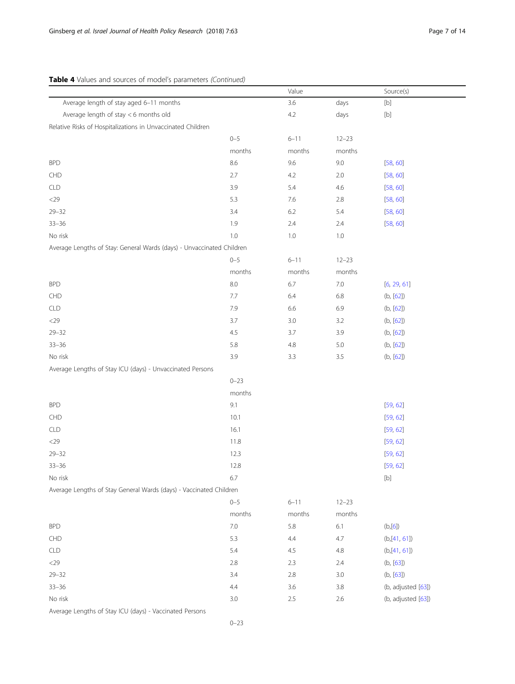| $50$ and $50$ and $111$ and $15$                                      |          | Value    |           | Source(s)                                                                                                                                                                                                                                                                                                                                                                                                                                                                                                                                                                                               |
|-----------------------------------------------------------------------|----------|----------|-----------|---------------------------------------------------------------------------------------------------------------------------------------------------------------------------------------------------------------------------------------------------------------------------------------------------------------------------------------------------------------------------------------------------------------------------------------------------------------------------------------------------------------------------------------------------------------------------------------------------------|
| Average length of stay aged 6-11 months                               |          | 3.6      | days      |                                                                                                                                                                                                                                                                                                                                                                                                                                                                                                                                                                                                         |
| Average length of stay < 6 months old                                 |          | 4.2      | days      | $[b] \centering% \includegraphics[width=0.9\columnwidth]{figures/fig_0a}% \label{fig:2} \includegraphics[width=0.9\columnwidth]{figures/fig_0b}% \label{fig:2} \includegraphics[width=0.9\columnwidth]{figures/fig_0b}% \label{fig:2} \includegraphics[width=0.9\columnwidth]{figures/fig_0b}% \label{fig:2} \includegraphics[width=0.9\columnwidth]{figures/fig_0b}% \label{fig:2} \includegraphics[width=0.9\columnwidth]{figures/fig_0b}% \label{fig:2} \includegraphics[width=0.9\columnwidth]{figures/fig_0b}% \label{fig:2} \includegraphics[width=0.9\columnwidth]{figures/fig_0b}% \label{fig:$ |
| Relative Risks of Hospitalizations in Unvaccinated Children           |          |          |           |                                                                                                                                                                                                                                                                                                                                                                                                                                                                                                                                                                                                         |
|                                                                       | $0 - 5$  | $6 - 11$ | $12 - 23$ |                                                                                                                                                                                                                                                                                                                                                                                                                                                                                                                                                                                                         |
|                                                                       | months   | months   | months    |                                                                                                                                                                                                                                                                                                                                                                                                                                                                                                                                                                                                         |
| <b>BPD</b>                                                            | $8.6\,$  | 9.6      | $9.0\,$   | [58, 60]                                                                                                                                                                                                                                                                                                                                                                                                                                                                                                                                                                                                |
| CHD                                                                   | 2.7      | 4.2      | 2.0       | [58, 60]                                                                                                                                                                                                                                                                                                                                                                                                                                                                                                                                                                                                |
| <b>CLD</b>                                                            | 3.9      | 5.4      | 4.6       | [58, 60]                                                                                                                                                                                                                                                                                                                                                                                                                                                                                                                                                                                                |
| $<$ 29 $\,$                                                           | 5.3      | 7.6      | 2.8       | [58, 60]                                                                                                                                                                                                                                                                                                                                                                                                                                                                                                                                                                                                |
| $29 - 32$                                                             | 3.4      | $6.2\,$  | 5.4       | [58, 60]                                                                                                                                                                                                                                                                                                                                                                                                                                                                                                                                                                                                |
| $33 - 36$                                                             | 1.9      | 2.4      | 2.4       | [58, 60]                                                                                                                                                                                                                                                                                                                                                                                                                                                                                                                                                                                                |
| No risk                                                               | $1.0\,$  | $1.0\,$  | 1.0       |                                                                                                                                                                                                                                                                                                                                                                                                                                                                                                                                                                                                         |
| Average Lengths of Stay: General Wards (days) - Unvaccinated Children |          |          |           |                                                                                                                                                                                                                                                                                                                                                                                                                                                                                                                                                                                                         |
|                                                                       | $0 - 5$  | $6 - 11$ | $12 - 23$ |                                                                                                                                                                                                                                                                                                                                                                                                                                                                                                                                                                                                         |
|                                                                       | months   | months   | months    |                                                                                                                                                                                                                                                                                                                                                                                                                                                                                                                                                                                                         |
| <b>BPD</b>                                                            | $8.0\,$  | 6.7      | 7.0       | [6, 29, 61]                                                                                                                                                                                                                                                                                                                                                                                                                                                                                                                                                                                             |
| CHD                                                                   | 7.7      | 6.4      | 6.8       | (b, [62])                                                                                                                                                                                                                                                                                                                                                                                                                                                                                                                                                                                               |
| <b>CLD</b>                                                            | 7.9      | 6.6      | 6.9       | (b, [62])                                                                                                                                                                                                                                                                                                                                                                                                                                                                                                                                                                                               |
| $<$ 29                                                                | 3.7      | 3.0      | 3.2       | (b, [62])                                                                                                                                                                                                                                                                                                                                                                                                                                                                                                                                                                                               |
| $29 - 32$                                                             | 4.5      | 3.7      | 3.9       | (b, [62])                                                                                                                                                                                                                                                                                                                                                                                                                                                                                                                                                                                               |
| $33 - 36$                                                             | 5.8      | 4.8      | 5.0       | (b, [62])                                                                                                                                                                                                                                                                                                                                                                                                                                                                                                                                                                                               |
| No risk                                                               | 3.9      | 3.3      | 3.5       | (b, [62])                                                                                                                                                                                                                                                                                                                                                                                                                                                                                                                                                                                               |
| Average Lengths of Stay ICU (days) - Unvaccinated Persons             |          |          |           |                                                                                                                                                                                                                                                                                                                                                                                                                                                                                                                                                                                                         |
|                                                                       | $0 - 23$ |          |           |                                                                                                                                                                                                                                                                                                                                                                                                                                                                                                                                                                                                         |
|                                                                       | months   |          |           |                                                                                                                                                                                                                                                                                                                                                                                                                                                                                                                                                                                                         |
| <b>BPD</b>                                                            | 9.1      |          |           | [59, 62]                                                                                                                                                                                                                                                                                                                                                                                                                                                                                                                                                                                                |
| CHD                                                                   | 10.1     |          |           | [59, 62]                                                                                                                                                                                                                                                                                                                                                                                                                                                                                                                                                                                                |
| <b>CLD</b>                                                            | 16.1     |          |           | [59, 62]                                                                                                                                                                                                                                                                                                                                                                                                                                                                                                                                                                                                |
| $<$ 29 $\,$                                                           | 11.8     |          |           | [59, 62]                                                                                                                                                                                                                                                                                                                                                                                                                                                                                                                                                                                                |
| $29 - 32$                                                             | 12.3     |          |           | [59, 62]                                                                                                                                                                                                                                                                                                                                                                                                                                                                                                                                                                                                |
| $33 - 36$                                                             | 12.8     |          |           | [59, 62]                                                                                                                                                                                                                                                                                                                                                                                                                                                                                                                                                                                                |
| No risk                                                               | 6.7      |          |           | $[b] \centering% \includegraphics[width=1.0\textwidth]{figs/fig_0a}% \includegraphics[width=1.0\textwidth]{figs/fig_0b}% \includegraphics[width=1.0\textwidth]{figs/fig_0b}% \includegraphics[width=1.0\textwidth]{figs/fig_0b}% \includegraphics[width=1.0\textwidth]{figs/fig_0b}% \includegraphics[width=1.0\textwidth]{figs/fig_0b}% \includegraphics[width=1.0\textwidth]{figs/fig_0b}% \includegraphics[width=1.0\textwidth]{figs/fig_0b}% \includegraphics[width=1.0\textwidth]{figs/fig_0b}% \includegraphics[width=1.0\textwidth]{figs/fig_0b}% \includegraphics[$                             |
| Average Lengths of Stay General Wards (days) - Vaccinated Children    |          |          |           |                                                                                                                                                                                                                                                                                                                                                                                                                                                                                                                                                                                                         |
|                                                                       | $0 - 5$  | $6 - 11$ | $12 - 23$ |                                                                                                                                                                                                                                                                                                                                                                                                                                                                                                                                                                                                         |
|                                                                       | months   | months   | months    |                                                                                                                                                                                                                                                                                                                                                                                                                                                                                                                                                                                                         |
| <b>BPD</b>                                                            | $7.0\,$  | 5.8      | $6.1\,$   | (b,[6])                                                                                                                                                                                                                                                                                                                                                                                                                                                                                                                                                                                                 |
| CHD                                                                   | 5.3      | 4.4      | 4.7       | (b,[41, 61])                                                                                                                                                                                                                                                                                                                                                                                                                                                                                                                                                                                            |
| <b>CLD</b>                                                            | 5.4      | 4.5      | 4.8       | (b,[41, 61])                                                                                                                                                                                                                                                                                                                                                                                                                                                                                                                                                                                            |
| $<$ 29 $\,$                                                           | 2.8      | 2.3      | 2.4       | (b, [63])                                                                                                                                                                                                                                                                                                                                                                                                                                                                                                                                                                                               |
| $29 - 32$                                                             | 3.4      | 2.8      | 3.0       | (b, [63])                                                                                                                                                                                                                                                                                                                                                                                                                                                                                                                                                                                               |
| $33 - 36$                                                             | 4.4      | 3.6      | 3.8       | (b, adjusted [63])                                                                                                                                                                                                                                                                                                                                                                                                                                                                                                                                                                                      |
| No risk                                                               | $3.0\,$  | 2.5      | $2.6\,$   | (b, adjusted [63])                                                                                                                                                                                                                                                                                                                                                                                                                                                                                                                                                                                      |
|                                                                       |          |          |           |                                                                                                                                                                                                                                                                                                                                                                                                                                                                                                                                                                                                         |

Average Lengths of Stay ICU (days) - Vaccinated Persons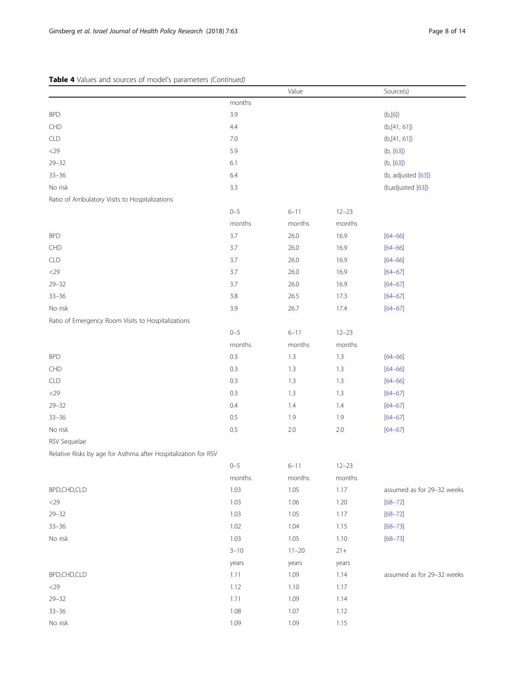|                                                                |          | Value     |           | Source(s)                  |
|----------------------------------------------------------------|----------|-----------|-----------|----------------------------|
|                                                                | months   |           |           |                            |
| <b>BPD</b>                                                     | 3.9      |           |           | (b,[6])                    |
| CHD                                                            | 4.4      |           |           | (b,[41, 61])               |
| <b>CLD</b>                                                     | 7.0      |           |           | (b,[41, 61])               |
| $<$ 29 $\,$                                                    | 5.9      |           |           | (b, [63])                  |
| $29 - 32$                                                      | 6.1      |           |           | (b, [63])                  |
| $33 - 36$                                                      | 6.4      |           |           | (b, adjusted [63])         |
| No risk                                                        | 3.3      |           |           | (b,adjusted [63])          |
| Ratio of Ambulatory Visits to Hospitalizations                 |          |           |           |                            |
|                                                                | $0 - 5$  | $6 - 11$  | $12 - 23$ |                            |
|                                                                | months   | months    | months    |                            |
| <b>BPD</b>                                                     | 3.7      | 26.0      | 16.9      | $[64 - 66]$                |
| CHD                                                            | 3.7      | 26.0      | 16.9      | $[64 - 66]$                |
| CLD                                                            | 3.7      | 26.0      | 16.9      | $[64 - 66]$                |
| $<$ 29                                                         | 3.7      | 26.0      | 16.9      | $[64 - 67]$                |
| $29 - 32$                                                      | 3.7      | 26.0      | 16.9      | $[64 - 67]$                |
| $33 - 36$                                                      | 3.8      | 26.5      | 17.3      | $[64 - 67]$                |
| No risk                                                        | 3.9      | 26.7      | 17.4      | $[64 - 67]$                |
| Ratio of Emergency Room Visits to Hospitalizations             |          |           |           |                            |
|                                                                | $0 - 5$  | $6 - 11$  | $12 - 23$ |                            |
|                                                                | months   | months    | months    |                            |
| <b>BPD</b>                                                     | 0.3      | 1.3       | 1.3       | $[64 - 66]$                |
| CHD                                                            | 0.3      | 1.3       | 1.3       | $[64 - 66]$                |
| CLD                                                            | 0.3      | 1.3       | 1.3       | $[64 - 66]$                |
| $<$ 29                                                         | 0.3      | 1.3       | 1.3       | $[64 - 67]$                |
| $29 - 32$                                                      | 0.4      | 1.4       | 1.4       | $[64 - 67]$                |
| $33 - 36$                                                      | $0.5\,$  | 1.9       | 1.9       | $[64 - 67]$                |
| No risk                                                        | $0.5\,$  | 2.0       | 2.0       | $[64 - 67]$                |
| RSV Sequelae                                                   |          |           |           |                            |
| Relative Risks by age for Asthma after Hospitalization for RSV |          |           |           |                            |
|                                                                | $0 - 5$  | $6 - 11$  | $12 - 23$ |                            |
|                                                                | months   | months    | months    |                            |
| BPD,CHD,CLD                                                    | 1.03     | 1.05      | 1.17      | assumed as for 29-32 weeks |
| $<$ 29                                                         | 1.03     | 1.06      | 1.20      | $[68 - 72]$                |
| $29 - 32$                                                      | 1.03     | 1.05      | 1.17      | $[68 - 72]$                |
| $33 - 36$                                                      | 1.02     | 1.04      | 1.15      | $[68 - 73]$                |
| No risk                                                        | 1.03     | 1.05      | 1.10      | $[68 - 73]$                |
|                                                                | $3 - 10$ | $11 - 20$ | $21+$     |                            |
|                                                                | years    | years     | years     |                            |
| BPD, CHD, CLD                                                  | 1.11     | 1.09      | 1.14      | assumed as for 29-32 weeks |
| $<$ 29                                                         | 1.12     | 1.10      | 1.17      |                            |
| $29 - 32$                                                      | 1.11     | 1.09      | 1.14      |                            |
| $33 - 36$                                                      | 1.08     | 1.07      | 1.12      |                            |
| No risk                                                        | 1.09     | 1.09      | 1.15      |                            |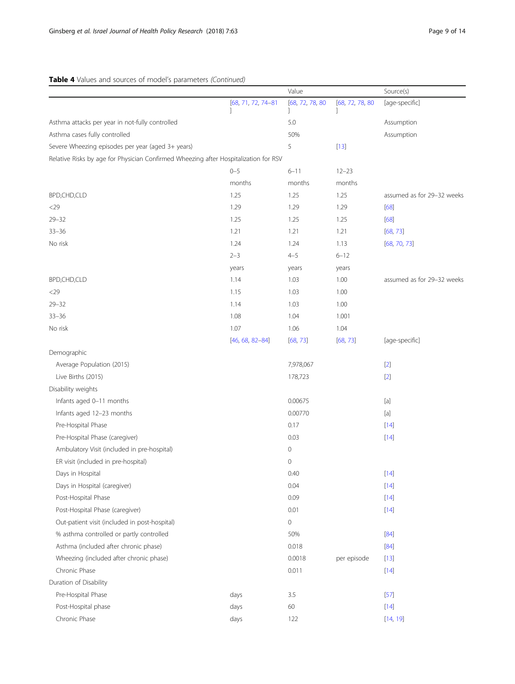|                                                                                      |                    | Value               |                 | Source(s)                  |  |
|--------------------------------------------------------------------------------------|--------------------|---------------------|-----------------|----------------------------|--|
|                                                                                      | [68, 71, 72, 74-81 | [68, 72, 78, 80     | [68, 72, 78, 80 | [age-specific]             |  |
| Asthma attacks per year in not-fully controlled                                      |                    | 5.0                 |                 | Assumption                 |  |
| Asthma cases fully controlled                                                        |                    | 50%                 |                 | Assumption                 |  |
| Severe Wheezing episodes per year (aged 3+ years)                                    |                    | 5                   | $[13]$          |                            |  |
| Relative Risks by age for Physician Confirmed Wheezing after Hospitalization for RSV |                    |                     |                 |                            |  |
|                                                                                      | $0 - 5$            | $6 - 11$            | $12 - 23$       |                            |  |
|                                                                                      | months             | months              | months          |                            |  |
| BPD,CHD,CLD                                                                          | 1.25               | 1.25                | 1.25            | assumed as for 29-32 weeks |  |
| $<$ 29                                                                               | 1.29               | 1.29                | 1.29            | [68]                       |  |
| $29 - 32$                                                                            | 1.25               | 1.25                | 1.25            | [68]                       |  |
| $33 - 36$                                                                            | 1.21               | 1.21                | 1.21            | [68, 73]                   |  |
| No risk                                                                              | 1.24               | 1.24                | 1.13            | [68, 70, 73]               |  |
|                                                                                      | $2 - 3$            | $4 - 5$             | $6 - 12$        |                            |  |
|                                                                                      | years              | years               | years           |                            |  |
| BPD,CHD,CLD                                                                          | 1.14               | 1.03                | 1.00            | assumed as for 29-32 weeks |  |
| $<$ 29                                                                               | 1.15               | 1.03                | 1.00            |                            |  |
| $29 - 32$                                                                            | 1.14               | 1.03                | 1.00            |                            |  |
| $33 - 36$                                                                            | 1.08               | 1.04                | 1.001           |                            |  |
| No risk                                                                              | 1.07               | 1.06                | 1.04            |                            |  |
|                                                                                      | $[46, 68, 82-84]$  | [68, 73]            | [68, 73]        | [age-specific]             |  |
| Demographic                                                                          |                    |                     |                 |                            |  |
| Average Population (2015)                                                            |                    | 7,978,067           |                 | $[2]$                      |  |
| Live Births (2015)                                                                   |                    | 178,723             |                 | $[2]$                      |  |
| Disability weights                                                                   |                    |                     |                 |                            |  |
| Infants aged 0-11 months                                                             |                    | 0.00675             |                 | $[a]$                      |  |
| Infants aged 12-23 months                                                            |                    | 0.00770             |                 | [a]                        |  |
| Pre-Hospital Phase                                                                   |                    | 0.17                |                 | $[14]$                     |  |
| Pre-Hospital Phase (caregiver)                                                       |                    | 0.03                |                 | $[14]$                     |  |
| Ambulatory Visit (included in pre-hospital)                                          |                    | 0                   |                 |                            |  |
| ER visit (included in pre-hospital)                                                  |                    | 0                   |                 |                            |  |
| Days in Hospital                                                                     |                    | 0.40                |                 | $[14]$                     |  |
| Days in Hospital (caregiver)                                                         |                    | 0.04                |                 | $[14]$                     |  |
| Post-Hospital Phase                                                                  |                    | 0.09                |                 | $[14]$                     |  |
| Post-Hospital Phase (caregiver)                                                      |                    | 0.01                |                 | $[14]$                     |  |
| Out-patient visit (included in post-hospital)                                        |                    | $\mathsf{O}\xspace$ |                 |                            |  |
| % asthma controlled or partly controlled                                             |                    | 50%                 |                 | $[84]$                     |  |
| Asthma (included after chronic phase)                                                |                    | 0.018               |                 | [84]                       |  |
| Wheezing (included after chronic phase)                                              |                    | 0.0018              | per episode     | $[13]$                     |  |
| Chronic Phase                                                                        |                    | 0.011               |                 | $[14]$                     |  |
| Duration of Disability                                                               |                    |                     |                 |                            |  |
| Pre-Hospital Phase                                                                   | days               | 3.5                 |                 | $[57]$                     |  |
| Post-Hospital phase                                                                  | days               | 60                  |                 | $[14]$                     |  |
| Chronic Phase                                                                        | days               | 122                 |                 | [14, 19]                   |  |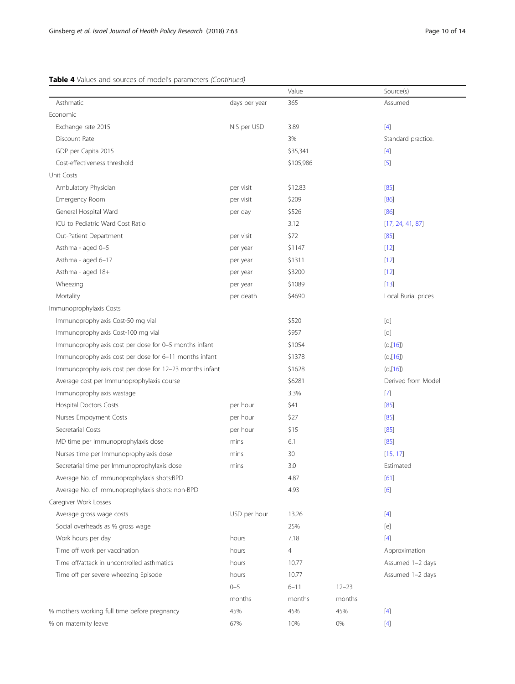|                                                         |               | Value          |           | Source(s)           |
|---------------------------------------------------------|---------------|----------------|-----------|---------------------|
| Asthmatic                                               | days per year | 365            |           | Assumed             |
| Economic                                                |               |                |           |                     |
| Exchange rate 2015                                      | NIS per USD   | 3.89           |           | $[4]$               |
| Discount Rate                                           |               | 3%             |           | Standard practice.  |
| GDP per Capita 2015                                     |               | \$35,341       |           | $[4]$               |
| Cost-effectiveness threshold                            |               | \$105,986      |           | $[5]$               |
| Unit Costs                                              |               |                |           |                     |
| Ambulatory Physician                                    | per visit     | \$12.83        |           | $[85]$              |
| Emergency Room                                          | per visit     | \$209          |           | [86]                |
| General Hospital Ward                                   | per day       | \$526          |           | [86]                |
| ICU to Pediatric Ward Cost Ratio                        |               | 3.12           |           | [17, 24, 41, 87]    |
| Out-Patient Department                                  | per visit     | \$72           |           | [85]                |
| Asthma - aged 0-5                                       | per year      | \$1147         |           | $[12]$              |
| Asthma - aged 6-17                                      | per year      | \$1311         |           | $[12]$              |
| Asthma - aged 18+                                       | per year      | \$3200         |           | $[12]$              |
| Wheezing                                                | per year      | \$1089         |           | $[13]$              |
| Mortality                                               | per death     | \$4690         |           | Local Burial prices |
| Immunoprophylaxis Costs                                 |               |                |           |                     |
| Immunoprophylaxis Cost-50 mg vial                       |               | \$520          |           | $[d]$               |
| Immunoprophylaxis Cost-100 mg vial                      |               | \$957          |           | $[d]$               |
| Immunoprophylaxis cost per dose for 0-5 months infant   |               | \$1054         |           | (d,[16])            |
| Immunoprophylaxis cost per dose for 6-11 months infant  |               | \$1378         |           | (d,[16])            |
| Immunoprophylaxis cost per dose for 12-23 months infant |               | \$1628         |           | (d,[16])            |
| Average cost per Immunoprophylaxis course               |               | \$6281         |           | Derived from Model  |
| Immunoprophylaxis wastage                               |               | 3.3%           |           | $[7]$               |
| Hospital Doctors Costs                                  | per hour      | \$41           |           | [85]                |
| Nurses Empoyment Costs                                  | per hour      | \$27           |           | [85]                |
| Secretarial Costs                                       | per hour      | \$15           |           | [85]                |
| MD time per Immunoprophylaxis dose                      | mins          | 6.1            |           | [85]                |
| Nurses time per Immunoprophylaxis dose                  | mins          | 30             |           | [15, 17]            |
| Secretarial time per Immunoprophylaxis dose             | mins          | 3.0            |           | Estimated           |
| Average No. of Immunoprophylaxis shots:BPD              |               | 4.87           |           | [61]                |
| Average No. of Immunoprophylaxis shots: non-BPD         |               | 4.93           |           | [6]                 |
| Caregiver Work Losses                                   |               |                |           |                     |
| Average gross wage costs                                | USD per hour  | 13.26          |           | $[4]$               |
| Social overheads as % gross wage                        |               | 25%            |           | [e]                 |
| Work hours per day                                      | hours         | 7.18           |           | $[4]$               |
| Time off work per vaccination                           | hours         | $\overline{4}$ |           | Approximation       |
| Time off/attack in uncontrolled asthmatics              | hours         | 10.77          |           | Assumed 1-2 days    |
| Time off per severe wheezing Episode                    | hours         | 10.77          |           | Assumed 1-2 days    |
|                                                         | $0 - 5$       | $6 - 11$       | $12 - 23$ |                     |
|                                                         | months        | months         | months    |                     |
| % mothers working full time before pregnancy            | 45%           | 45%            | 45%       | $[4]$               |
| % on maternity leave                                    | 67%           | 10%            | 0%        | $[4]$               |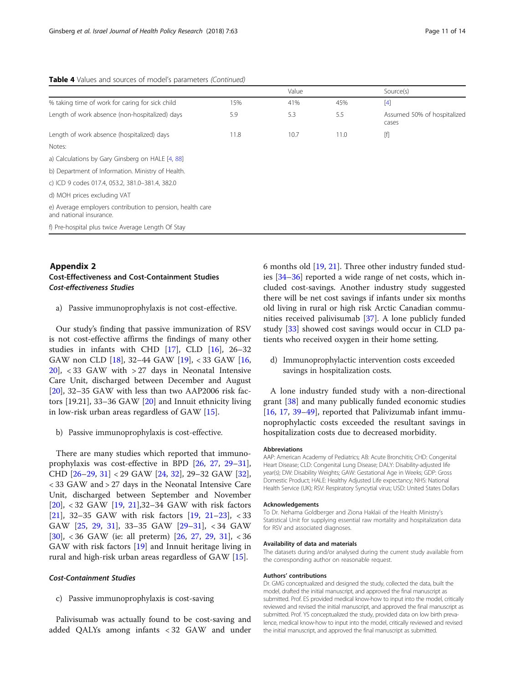<span id="page-10-0"></span>

|                                                                                      |      | Value |      | Source(s)                            |
|--------------------------------------------------------------------------------------|------|-------|------|--------------------------------------|
| % taking time of work for caring for sick child                                      | 15%  | 41%   | 45%  | $[4]$                                |
| Length of work absence (non-hospitalized) days                                       | 5.9  | 5.3   | 5.5  | Assumed 50% of hospitalized<br>cases |
| Length of work absence (hospitalized) days                                           | 11.8 | 10.7  | 11.0 | [f]                                  |
| Notes:                                                                               |      |       |      |                                      |
| a) Calculations by Gary Ginsberg on HALE [4, 88]                                     |      |       |      |                                      |
| b) Department of Information. Ministry of Health.                                    |      |       |      |                                      |
| c) ICD 9 codes 017.4, 053.2, 381.0-381.4, 382.0                                      |      |       |      |                                      |
| d) MOH prices excluding VAT                                                          |      |       |      |                                      |
| e) Average employers contribution to pension, health care<br>and national insurance. |      |       |      |                                      |
| f) Pre-hospital plus twice Average Length Of Stay                                    |      |       |      |                                      |

# Appendix 2 Cost-Effectiveness and Cost-Containment Studies Cost-effectiveness Studies

a) Passive immunoprophylaxis is not cost-effective.

Our study's finding that passive immunization of RSV is not cost-effective affirms the findings of many other studies in infants with CHD [[17\]](#page-11-0), CLD [[16\]](#page-11-0), 26–32 GAW non CLD [[18\]](#page-11-0), 32–44 GAW [\[19](#page-11-0)], < 33 GAW [[16](#page-11-0), [20\]](#page-11-0), < 33 GAW with > 27 days in Neonatal Intensive Care Unit, discharged between December and August  $[20]$  $[20]$ , 32–35 GAW with less than two AAP2006 risk factors [19.21], 33–36 GAW [[20](#page-11-0)] and Innuit ethnicity living in low-risk urban areas regardless of GAW [[15\]](#page-11-0).

b) Passive immunoprophylaxis is cost-effective.

There are many studies which reported that immunoprophylaxis was cost-effective in BPD [\[26,](#page-11-0) [27,](#page-11-0) [29](#page-11-0)–[31](#page-11-0)], CHD [\[26](#page-11-0)–[29](#page-11-0), [31](#page-11-0)] < 29 GAW [\[24](#page-11-0), [32](#page-11-0)], 29–32 GAW [\[32](#page-11-0)], < 33 GAW and > 27 days in the Neonatal Intensive Care Unit, discharged between September and November [[20\]](#page-11-0), < 32 GAW [\[19](#page-11-0), [21](#page-11-0)],32–34 GAW with risk factors [[21\]](#page-11-0), 32–35 GAW with risk factors [[19,](#page-11-0) [21](#page-11-0)–[23\]](#page-11-0), < 33 GAW [\[25](#page-11-0), [29](#page-11-0), [31\]](#page-11-0), 33–35 GAW [[29](#page-11-0)–[31](#page-11-0)], < 34 GAW [[30\]](#page-11-0), < 36 GAW (ie: all preterm) [\[26](#page-11-0), [27,](#page-11-0) [29](#page-11-0), [31\]](#page-11-0), < 36 GAW with risk factors [[19](#page-11-0)] and Innuit heritage living in rural and high-risk urban areas regardless of GAW [[15\]](#page-11-0).

### Cost-Containment Studies

c) Passive immunoprophylaxis is cost-saving

Palivisumab was actually found to be cost-saving and added QALYs among infants < 32 GAW and under 6 months old [\[19](#page-11-0), [21\]](#page-11-0). Three other industry funded studies [[34](#page-11-0)–[36](#page-11-0)] reported a wide range of net costs, which included cost-savings. Another industry study suggested there will be net cost savings if infants under six months old living in rural or high risk Arctic Canadian communities received palivisumab [\[37](#page-12-0)]. A lone publicly funded study [\[33](#page-11-0)] showed cost savings would occur in CLD patients who received oxygen in their home setting.

d) Immunoprophylactic intervention costs exceeded savings in hospitalization costs.

A lone industry funded study with a non-directional grant [[38](#page-12-0)] and many publically funded economic studies [[16,](#page-11-0) [17](#page-11-0), [39](#page-12-0)–[49](#page-12-0)], reported that Palivizumab infant immunoprophylactic costs exceeded the resultant savings in hospitalization costs due to decreased morbidity.

#### Abbreviations

AAP: American Academy of Pediatrics; AB: Acute Bronchitis; CHD: Congenital Heart Disease; CLD: Congenital Lung Disease; DALY: Disability-adjusted life year(s); DW: Disability Weights; GAW: Gestational Age in Weeks; GDP: Gross Domestic Product; HALE: Healthy Adjusted Life expectancy; NHS: National Health Service (UK); RSV: Respiratory Syncytial virus; USD: United States Dollars

#### Acknowledgements

To Dr. Nehama Goldberger and Ziona Haklaii of the Health Ministry's Statistical Unit for supplying essential raw mortality and hospitalization data for RSV and associated diagnoses.

#### Availability of data and materials

The datasets during and/or analysed during the current study available from the corresponding author on reasonable request.

#### Authors' contributions

Dr. GMG conceptualized and designed the study, collected the data, built the model, drafted the initial manuscript, and approved the final manuscript as submitted. Prof. ES provided medical know-how to input into the model, critically reviewed and revised the initial manuscript, and approved the final manuscript as submitted. Prof. YS conceptualized the study, provided data on low birth prevalence, medical know-how to input into the model, critically reviewed and revised the initial manuscript, and approved the final manuscript as submitted.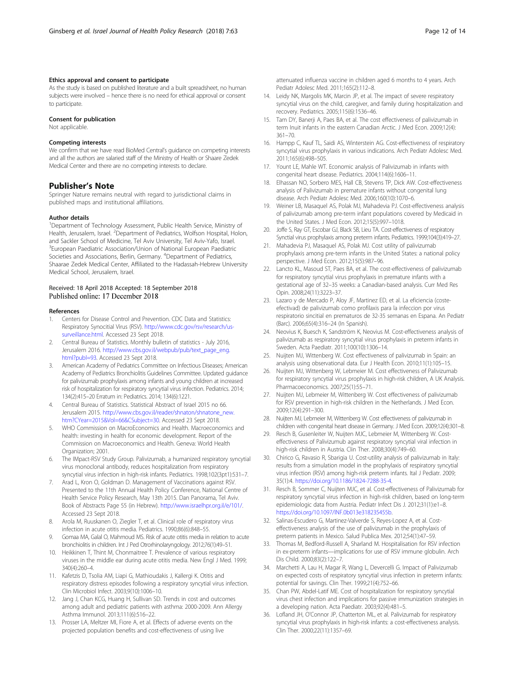### <span id="page-11-0"></span>Ethics approval and consent to participate

As the study is based on published literature and a built spreadsheet, no human subjects were involved – hence there is no need for ethical approval or consent to participate.

# Consent for publication

Not applicable.

#### Competing interests

We confirm that we have read BioMed Central's guidance on competing interests and all the authors are salaried staff of the Ministry of Health or Shaare Zedek Medical Center and there are no competing interests to declare.

### Publisher's Note

Springer Nature remains neutral with regard to jurisdictional claims in published maps and institutional affiliations.

#### Author details

<sup>1</sup>Department of Technology Assessment, Public Health Service, Ministry of Health, Jerusalem, Israel. <sup>2</sup>Department of Pediatrics, Wolfson Hospital, Holon, and Sackler School of Medicine, Tel Aviv University, Tel Aviv-Yafo, Israel. <sup>3</sup> European Paediatric Association/Union of National European Paediatric Societies and Associations, Berlin, Germany. <sup>4</sup>Department of Pediatrics, Shaarae Zedek Medical Center, Affiliated to the Hadassah-Hebrew University Medical School, Jerusalem, Israel.

## Received: 18 April 2018 Accepted: 18 September 2018 Published online: 17 December 2018

#### References

- 1. Centers for Disease Control and Prevention. CDC Data and Statistics: Respiratory Synocitial Virus (RSV). [http://www.cdc.gov/rsv/research/us](http://www.cdc.gov/rsv/research/us-surveillance.html)[surveillance.html](http://www.cdc.gov/rsv/research/us-surveillance.html). Accessed 23 Sept 2018.
- 2. Central Bureau of Statistics. Monthly bulletin of statistics July 2016, Jerusalem 2016. [http://www.cbs.gov.il/webpub/pub/text\\_page\\_eng.](http://www.cbs.gov.il/webpub/pub/text_page_eng.html?publ=93) [html?publ=93.](http://www.cbs.gov.il/webpub/pub/text_page_eng.html?publ=93) Accessed 23 Sept 2018.
- 3. American Academy of Pediatrics Committee on Infectious Diseases; American Academy of Pediatrics Bronchiolitis Guidelines Committee. Updated guidance for palivizumab prophylaxis among infants and young children at increased risk of hospitalization for respiratory syncytial virus infection. Pediatrics. 2014; 134(2):415–20 Erratum in: Pediatrics. 2014; 134(6):1221.
- 4. Central Bureau of Statistics. Statistical Abstract of Israel 2015 no 66. Jerusalem 2015. [http://www.cbs.gov.il/reader/shnaton/shnatone\\_new.](http://www.cbs.gov.il/reader/shnaton/shnatone_new.htm?CYear=2015&Vol=66&CSubject=30) [htm?CYear=2015&Vol=66&CSubject=30](http://www.cbs.gov.il/reader/shnaton/shnatone_new.htm?CYear=2015&Vol=66&CSubject=30). Accessed 23 Sept 2018.
- 5. WHO Commission on MacroEconomics and Health. Macroeconomics and health: investing in health for economic development. Report of the Commission on Macroeconomics and Health. Geneva: World Health Organization; 2001.
- 6. The IMpact-RSV Study Group. Palivizumab, a humanized respiratory syncytial virus monoclonal antibody, reduces hospitalization from respiratory syncytial virus infection in high-risk infants. Pediatrics. 1998;102(3pt1):531–7.
- 7. Arad L, Kron O, Goldman D. Management of Vaccinations against RSV. Presented to the 11th Annual Health Policy Conference, National Centre of Health Service Policy Research, May 13th 2015. Dan Panorama, Tel Aviv. Book of Abstracts Page 55 (in Hebrew). <http://www.israelhpr.org.il/e/101/>. Accessed 23 Sept 2018.
- 8. Arola M, Ruuskanen O, Ziegler T, et al. Clinical role of respiratory virus infection in acute otitis media. Pediatrics. 1990;86(6):848–55.
- 9. Gomaa MA, Galal O, Mahmoud MS. Risk of acute otitis media in relation to acute bronchiolitis in children. Int J Ped Otrorhinolaryngology. 2012;76(1):49–51.
- 10. Heikkinen T, Thint M, Chonmaitree T. Prevalence of various respiratory viruses in the middle ear during acute otitis media. New Engl J Med. 1999; 340(4):260–4.
- 11. Kafetzis D, Tsolia AM, Liapi G, Mathioudakis J, Kallergi K. Otitis and respiratory distress episodes following a respiratory syncytial virus infection. Clin Microbiol Infect. 2003;9(10):1006–10.
- 12. Jang J, Chan KCG, Huang H, Sullivan SD. Trends in cost and outcomes among adult and pediatric patients with asthma: 2000-2009. Ann Allergy Asthma Immunol. 2013;111(6):516–22.
- 13. Prosser LA, Meltzer MI, Fiore A, et al. Effects of adverse events on the projected population benefits and cost-effectiveness of using live

attenuated influenza vaccine in children aged 6 months to 4 years. Arch Pediatr Adolesc Med. 2011;165(2):112–8.

- 14. Leidy NK, Margolis MK, Marcin JP, et al. The impact of severe respiratory syncytial virus on the child, caregiver, and family during hospitalization and recovery. Pediatrics. 2005;115(6):1536–46.
- 15. Tam DY, Banerji A, Paes BA, et al. The cost effectiveness of palivizumab in term Inuit infants in the eastern Canadian Arctic. J Med Econ. 2009;12(4): 361–70.
- 16. Hampp C, Kauf TL, Saidi AS, Winterstein AG. Cost-effectiveness of respiratory syncytial virus prophylaxis in various indications. Arch Pediatr Adolesc Med. 2011;165(6):498–505.
- 17. Yount LE, Mahle WT. Economic analysis of Palivizumab in infants with congenital heart disease. Pediatrics. 2004;114(6):1606–11.
- 18. Elhassan NO, Sorbero MES, Hall CB, Stevens TP, Dick AW. Cost-effectiveness analysis of Palivizumab in premature infants without congenital lung disease. Arch Pediatr Adolesc Med. 2006;160(10):1070–6.
- 19. Weiner LB, Masaquel AS, Polak MJ, Mahadevia PJ. Cost-effectiveness analysis of palivizumab among pre-term infant populations covered by Medicaid in the United States. J Med Econ. 2012;15(5):997–1018.
- 20. Joffe S, Ray GT, Escobar GJ, Black SB, Lieu TA. Cost-effectiveness of respiratory Synctial virus prophylaxis among preterm infants. Pediatrics. 1999;104(3):419–27.
- 21. Mahadevia PJ, Masaquel AS, Polak MJ. Cost utility of palivizumab prophylaxis among pre-term infants in the United States: a national policy perspective. J Med Econ. 2012;15(5):987–96.
- 22. Lancto KL, Masoud ST, Paes BA, et al. The cost-effectiveness of palivizumab for respiratory syncytial virus prophylaxis in premature infants with a gestational age of 32–35 weeks: a Canadian-based analysis. Curr Med Res Opin. 2008;24(11):3223–37.
- 23. Lazaro y de Mercado P, Aloy JF, Martinez ED, et al. La eficiencia (costeefectivad) de palivizumab como profilaxis para la infeccion por virus respiratorio sincitial en prematuros de 32-35 semanas en Espana. An Pediatr (Barc). 2006;65(4):316–24 (In Spanish).
- 24. Neovius K, Buesch K, Sandström K, Neovius M. Cost-effectiveness analysis of palivizumab as respiratory syncytial virus prophylaxis in preterm infants in Sweden. Acta Paediatr. 2011;100(10):1306–14.
- 25. Nuijten MJ, Wittenberg W. Cost effectiveness of palivizumab in Spain: an analysis using observational data. Eur J Health Econ. 2010;11(1):105–15.
- 26. Nuijten MJ, Wittenberg W, Lebmeier M. Cost effectiveness of Palivizumab for respiratory syncytial virus prophylaxis in high-risk children, A UK Analysis. Pharmacoeconomics. 2007;25(1):55–71.
- 27. Nuijten MJ, Lebmeier M, Wittenberg W. Cost effectiveness of palivizumab for RSV prevention in high-risk children in the Netherlands. J Med Econ. 2009;12(4):291–300.
- 28. Nuijten MJ, Lebmeier M, Wittenberg W. Cost effectiveness of palivizumab in children with congenital heart disease in Germany. J Med Econ. 2009;12(4):301–8.
- 29. Resch B, Gusenleiter W, Nuijten MJC, Lebmeier M, Wittenberg W. Costeffectiveness of Palivizumub against respiratory syncytial viral infection in high-risk children in Austria. Clin Ther. 2008;30(4):749–60.
- 30. Chirico G, Ravasio R, Sbarigia U. Cost-utility analysis of palivizumab in Italy: results from a simulation model in the prophylaxis of respiratory syncytial virus infection (RSV) among high-risk preterm infants. Ital J Pediatr. 2009; 35(1):4. [https://doi.org/10.1186/1824-7288-35-4.](https://doi.org/10.1186/1824-7288-35-4)
- 31. Resch B, Sommer C, Nuijten MJC, et al. Cost-effectiveness of Palivizumab for respiratory syncytial virus infection in high-risk children, based on long-term epidemiologic data from Austria. Pediatr Infect Dis J. 2012;31(1):e1–8. [https://doi.org/10.1097/INF.0b013e318235455b.](https://doi.org/10.1097/INF.0b013e318235455b)
- 32. Salinas-Escudero G, Martinez-Valverde S, Reyes-Lopez A, et al. Costeffectiveness analysis of the use of palivizumab in the prophylaxis of preterm patients in Mexico. Salud Publica Mex. 2012;54(1):47–59.
- 33. Thomas M, Bedford-Russell A, Sharland M. Hospitalisation for RSV infection in ex-preterm infants—implications for use of RSV immune globulin. Arch Dis Child. 2000;83(2):122–7.
- 34. Marchetti A, Lau H, Magar R, Wang L, Devercelli G. Impact of Palivizumab on expected costs of respiratory syncytial virus infection in preterm infants: potential for savings. Clin Ther. 1999;21(4):752–66.
- 35. Chan PW, Abdel-Latif ME. Cost of hospitalization for respiratory syncytial virus chest infection and implications for passive immunization strategies in a developing nation. Acta Paediatr. 2003;92(4):481–5.
- 36. Lofland JH, O'Connor JP, Chatterton ML, et al. Palivizumab for respiratory syncytial virus prophylaxis in high-risk infants: a cost-effectiveness analysis. Clin Ther. 2000;22(11):1357–69.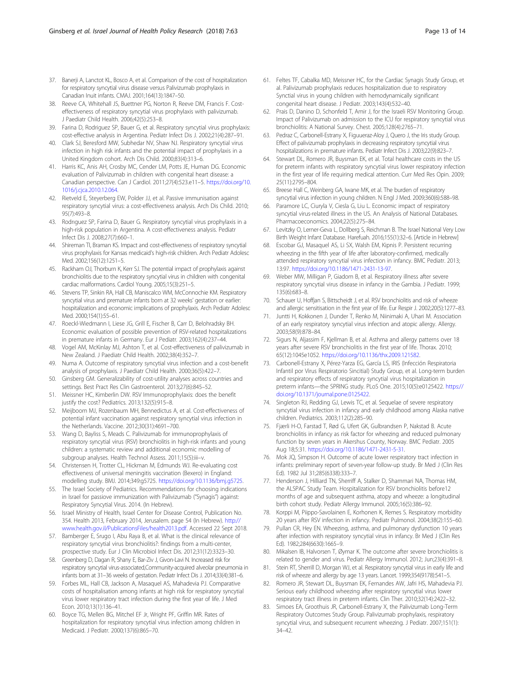- <span id="page-12-0"></span>37. Banerji A, Lanctot KL, Bosco A, et al. Comparison of the cost of hospitalization for respiratory syncytial virus disease versus Palivizumab prophylaxis in Canadian Inuit infants. CMAJ. 2001;164(13):1847–50.
- 38. Reeve CA, Whitehall JS, Buettner PG, Norton R, Reeve DM, Francis F. Costeffectiveness of respiratory syncytial virus prophylaxis with palivizumab. J Paediatr Child Health. 2006;42(5):253–8.
- 39. Farina D, Rodriguez SP, Bauer G, et al. Respiratory syncytial virus prophylaxis: cost-effective analysis in Argentina. Pediatr Infect Dis J. 2002;21(4):287–91.
- 40. Clark SJ, Beresford MW, Subhedar NV, Shaw NJ. Respiratory syncytial virus infection in high risk infants and the potential impact of prophylaxis in a United Kingdom cohort. Arch Dis Child. 2000;83(4):313–6.
- 41. Harris KC, Anis AH, Crosby MC, Cender LM, Potts JE, Human DG. Economic evaluation of Palivizumab in children with congenital heart disease: a Canadian perspective. Can J Cardiol. 2011;27(4):523.e11–5. [https://doi.org/10.](https://doi.org/10.1016/j.cjca.2010.12.064) [1016/j.cjca.2010.12.064.](https://doi.org/10.1016/j.cjca.2010.12.064)
- 42. Rietveld E, Steyerberg EW, Polder JJ, et al. Passive immunisation against respiratory syncytial virus: a cost-effectiveness analysis. Arch Dis Child. 2010; 95(7):493–8.
- 43. Rodrıguez SP, Farina D, Bauer G. Respiratory syncytial virus prophylaxis in a high-risk population in Argentina. A cost-effectiveness analysis. Pediatr Infect Dis J. 2008;27(7):660–1.
- 44. Shireman TI, Braman KS. Impact and cost-effectiveness of respiratory syncytial virus prophylaxis for Kansas medicaid's high-risk children. Arch Pediatr Adolesc Med. 2002;156(12):1251–5.
- 45. Rackham OJ, Thorburn K, Kerr SJ. The potential impact of prophylaxis against bronchiolitis due to the respiratory syncytial virus in children with congenital cardiac malformations. Cardiol Young. 2005;15(3):251–5.
- 46. Stevens TP, Sinkin RA, Hall CB, Maniscalco WM, McConnochie KM. Respiratory syncytial virus and premature infants born at 32 weeks' gestation or earlier: hospitalization and economic implications of prophylaxis. Arch Pediatr Adolesc Med. 2000;154(1):55–61.
- 47. Roeckl-Wiedmann I, Liese JG, Grill E, Fischer B, Carr D, Belohradsky BH. Economic evaluation of possible prevention of RSV-related hospitalizations in premature infants in Germany. Eur J Pediatr. 2003;162(4):237–44.
- 48. Vogel AM, McKinlay MJ, Ashton T, et al. Cost-effectiveness of palivizumab in New Zealand. J Paediatr Child Health. 2002;38(4):352–7.
- 49. Numa A. Outcome of respiratory syncytial virus infection and a cost-benefit analysis of prophylaxis. J Paediatr Child Health. 2000;36(5):422–7.
- 50. Ginsberg GM. Generalizability of cost-utility analyses across countries and settings. Best Pract Res Clin Gastroenterol. 2013;27(6):845–52.
- 51. Meissner HC, Kimberlin DW. RSV Immunoprophylaxis: does the benefit justify the cost? Pediatrics. 2013;132(5):915–8.
- 52. Meijboom MJ, Rozenbaum MH, Bennedictus A, et al. Cost-effectiveness of potential infant vaccination against respiratory syncytial virus infection in the Netherlands. Vaccine. 2012;30(31):4691–700.
- 53. Wang D, Bayliss S, Meads C. Palivizumab for immunoprophylaxis of respiratory syncytial virus (RSV) bronchiolitis in high-risk infants and young children: a systematic review and additional economic modelling of subgroup analyses. Health Technol Assess. 2011;15(5):iii–v.
- 54. Christensen H, Trotter CL, Hickman M, Edmunds WJ. Re-evaluating cost effectiveness of universal meningitis vaccination (Bexero) in England: modelling study. BMJ. 2014;349:g5725. <https://doi.org/10.1136/bmj.g5725>.
- 55. The Israel Society of Pediatrics. Recommendations for choosing indications in Israel for passiove immunization with Palivizumab ("Synagis") against: Respiratory Syncytial Virus. 2014. (In Hebrew).
- 56. Israel Ministry of Health, Israel Center for Disease Control, Publication No. 354. Health 2013, February 2014, Jerusalem. page 54 (In Hebrew). [http://](http://www.health.gov.il/PublicationsFiles/health2013.pdf) [www.health.gov.il/PublicationsFiles/health2013.pdf.](http://www.health.gov.il/PublicationsFiles/health2013.pdf) Accessed 22 Sept 2018.
- 57. Bamberger E, Srugo I, Abu Raya B, et al. What is the clinical relevance of respiratory syncytial virus bronchiolitis?: findings from a multi-center, prospective study. Eur J Clin Microbiol Infect Dis. 2012;31(12):3323–30.
- 58. Greenberg D, Dagan R, Shany E, Bar-Ziv J, Givon-Lavi N. Increased risk for respiratory syncytial virus-associated,Community-acquired alveolar pneumonia in infants born at 31–36 weeks of gestation. Pediatr Infect Dis J. 2014;33(4):381–6.
- 59. Forbes ML, Hall CB, Jackson A, Masaquel AS, Mahadevia PJ. Comparative costs of hospitalisation among infants at high risk for respiratory syncytial virus lower respiratory tract infection during the first year of life. J Med Econ. 2010;13(1):136–41.
- 60. Boyce TG, Mellen BG, Mitchel EF Jr, Wright PF, Griffin MR. Rates of hospitalization for respiratory syncytial virus infection among children in Medicaid. J Pediatr. 2000;137(6):865–70.
- 61. Feltes TF, Cabalka MD, Meissner HC, for the Cardiac Synagis Study Group, et al. Palivizumab prophylaxis reduces hospitalization due to respiratory Synctial virus in young children with hemodynamically significant congenital heart disease. J Pediatr. 2003;143(4):532–40.
- 62. Prais D, Danino D, Schonfeld T, Amir J, for the Israeli RSV Monitoring Group. Impact of Palivizumab on admission to the ICU for respiratory syncytial virus bronchiolitis: A National Survey. Chest. 2005;128(4):2765–71.
- 63. Pedraz C, Carbonell-Estrany X, Figuueraz-Aloy J, Quero J, the Iris study Group. Effect of palivizumab prophylaxis in decreasing respiratory syncytial virus hospitalizations in premature infants. Pediatr Infect Dis J. 2003;22(9):823–7.
- 64. Stewart DL, Romero JR, Buysman EK, et al. Total healthcare costs in the US for preterm infants with respiratory syncytial virus lower respiratory infection in the first year of life requiring medical attention. Curr Med Res Opin. 2009; 25(11):2795–804.
- 65. Breese Hall C, Weinberg GA, Iwane MK, et al. The burden of respiratory syncytial virus infection in young children. N Engl J Med. 2009;360(6):588–98.
- 66. Paramore LC, Ciuryla V, Ciesla G, Liu L. Economic impact of respiratory syncytial virus-related illness in the US. An Analysis of National Databases. Pharmacoeconomics. 2004;22(5):275–84.
- 67. Levitzky O, Lerner-Geva L, Dollberg S, Reichman B. The Israel National Very Low Birth Weight Infant Database. Harefuah. 2016;155(1):32–6. [Article in Hebrew]
- 68. Escobar GJ, Masaquel AS, Li SX, Walsh EM, Kipnis P. Persistent recurring wheezing in the fifth year of life after laboratory-confirmed, medically attended respiratory syncytial virus infection in infancy. BMC Pediatr. 2013; 13:97. <https://doi.org/10.1186/1471-2431-13-97>.
- 69. Weber MW, Milligan P, Giadom B, et al. Respiratory illness after severe respiratory syncytial virus disease in infancy in the Gambia. J Pediatr. 1999; 135(6):683–8.
- 70. Schauer U, Hoffjan S, Bittscheidt J, et al. RSV bronchiolitis and risk of wheeze and allergic sensitisation in the first year of life. Eur Respir J. 2002;20(5):1277–83.
- 71. Juntti H, Kokkonen J, Dunder T, Renko M, Niinimaki A, Uhari M. Association of an early respiratory syncytial virus infection and atopic allergy. Allergy. 2003;58(9):878–84.
- 72. Sigurs N, Aljassim F, Kjellman B, et al. Asthma and allergy patterns over 18 years after severe RSV bronchiolitis in the first year of life. Thorax. 2010; 65(12):1045e1052. <https://doi.org/10.1136/thx.2009.121582>.
- 73. Carbonell-Estrany X, Pérez-Yarza EG, García LS, IRIS (Infección Respiratoria Infantil por Virus Respiratorio Sincitial) Study Group, et al. Long-term burden and respiratory effects of respiratory syncytial virus hospitalization in preterm infants—the SPRING study. PLoS One. 2015;10(5):e0125422. [https://](https://doi.org/10.1371/journal.pone.0125422) [doi.org/10.1371/journal.pone.0125422.](https://doi.org/10.1371/journal.pone.0125422)
- 74. Singleton RJ, Redding GJ, Lewis TC, et al. Sequelae of severe respiratory syncytial virus infection in infancy and early childhood among Alaska native children. Pediatrics. 2003;112(2):285–90.
- 75. Fjærli H-O, Farstad T, Rød G, Ufert GK, Gulbrandsen P, Nakstad B. Acute bronchiolitis in infancy as risk factor for wheezing and reduced pulmonary function by seven years in Akershus County, Norway. BMC Pediatr. 2005 Aug 18;5:31. <https://doi.org/10.1186/1471-2431-5-31>.
- 76. Mok JQ, Simpson H. Outcome of acute lower respiratory tract infection in infants: preliminary report of seven-year follow-up study. Br Med J (Clin Res Ed). 1982 Jul 31;285(6338):333–7.
- 77. Henderson J, Hilliard TN, Sherriff A, Stalker D, Shammari NA, Thomas HM, the ALSPAC Study Team. Hospitalization for RSV bronchiolitis before12 months of age and subsequent asthma, atopy and wheeze: a longitudinal birth cohort study. Pediatr Allergy Immunol. 2005;16(5):386–92.
- 78. Korppi M, Piippo-Savolainen E, Korhonen K, Remes S. Respiratory morbidity 20 years after RSV infection in infancy. Pediatr Pulmonol. 2004;38(2):155–60.
- 79. Pullan CR, Hey EN. Wheezing, asthma, and pulmonary dysfunction 10 years after infection with respiratory syncytial virus in infancy. Br Med J (Clin Res Ed). 1982;284(6630):1665–9.
- Mikalsen IB, Halvorsen T, Øymar K. The outcome after severe bronchiolitis is related to gender and virus. Pediatr Allergy Immunol. 2012; Jun;23(4):391–8.
- 81. Stein RT, Sherrill D, Morgan WJ, et al. Respiratory syncytial virus in early life and risk of wheeze and allergy by age 13 years. Lancet. 1999;354(9178):541–5.
- Romero JR, Stewart DL, Buysman EK, Fernandes AW, Jafri HS, Mahadevia PJ. Serious early childhood wheezing after respiratory syncytial virus lower respiratory tract illness in preterm infants. Clin Ther. 2010;32(14):2422–32.
- 83. Simoes EA, Groothuis JR, Carbonell-Estrany X, the Palivizumab Long-Term Respiratory Outcomes Study Group. Palivizumab prophylaxis, respiratory syncytial virus, and subsequent recurrent wheezing. J Pediatr. 2007;151(1): 34–42.